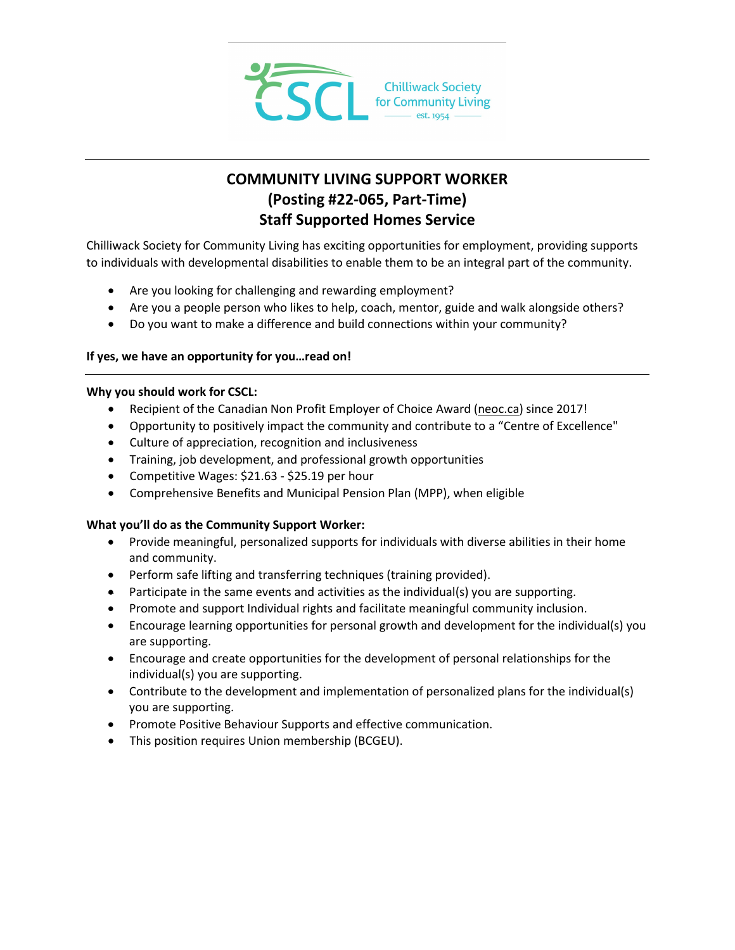

# **COMMUNITY LIVING SUPPORT WORKER (Posting #22-065, Part-Time) Staff Supported Homes Service**

Chilliwack Society for Community Living has exciting opportunities for employment, providing supports to individuals with developmental disabilities to enable them to be an integral part of the community.

- Are you looking for challenging and rewarding employment?
- Are you a people person who likes to help, coach, mentor, guide and walk alongside others?
- Do you want to make a difference and build connections within your community?

## **If yes, we have an opportunity for you…read on!**

#### **Why you should work for CSCL:**

- Recipient of the Canadian Non Profit Employer of Choice Award [\(neoc.ca\)](http://neoc.ca/) since 2017!
- Opportunity to positively impact the community and contribute to a "Centre of Excellence"
- Culture of appreciation, recognition and inclusiveness
- Training, job development, and professional growth opportunities
- Competitive Wages: \$21.63 \$25.19 per hour
- Comprehensive Benefits and Municipal Pension Plan (MPP), when eligible

## **What you'll do as the Community Support Worker:**

- Provide meaningful, personalized supports for individuals with diverse abilities in their home and community.
- Perform safe lifting and transferring techniques (training provided).
- Participate in the same events and activities as the individual(s) you are supporting.
- Promote and support Individual rights and facilitate meaningful community inclusion.
- Encourage learning opportunities for personal growth and development for the individual(s) you are supporting.
- Encourage and create opportunities for the development of personal relationships for the individual(s) you are supporting.
- Contribute to the development and implementation of personalized plans for the individual(s) you are supporting.
- Promote Positive Behaviour Supports and effective communication.
- This position requires Union membership (BCGEU).